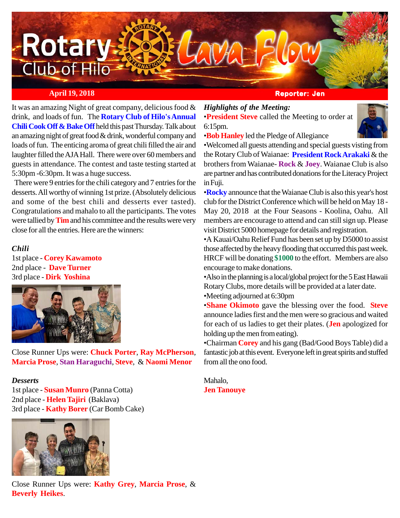

### **April 19, 2018 Reporter: Jen**

It was an amazing Night of great company, delicious food & drink, and loads of fun. The **Rotary Club of Hilo's Annual Chili Cook Off & Bake Off** held this past Thursday. Talk about an amazing night of great food & drink, wonderful company and loads of fun. The enticing aroma of great chili filled the air and laughter filled the AJA Hall. There were over 60 members and guests in attendance. The contest and taste testing started at 5:30pm -6:30pm. It was a huge success.

 There were 9 entries for the chili category and 7 entries for the desserts. All worthy of winning 1st prize. (Absolutely delicious and some of the best chili and desserts ever tasted). Congratulations and mahalo to all the participants. The votes were tallied by **Tim** and his committee and the results were very close for all the entries. Here are the winners:

### *Chili*

1st place - **Corey Kawamoto** 2nd place - **Dave Turner** 3rd place - **Dirk Yoshina**



Close Runner Ups were: **Chuck Porter**, **Ray McPherson**, **Marcia Prose**, **Stan Haraguchi**, **Steve**, & **Naomi Menor**

#### *Desserts*

1st place - **Susan Munro** (Panna Cotta) 2nd place - **Helen Tajiri** (Baklava) 3rd place - **Kathy Borer** (Car Bomb Cake)



## *Highlights of the Meeting:*

•**President Steve** called the Meeting to order at 6:15pm.



•**Bob Hanley** led the Pledge of Allegiance

•Welcomed all guests attending and special guests visting from the Rotary Club of Waianae: **President Rock Arakaki** & the brothers from Waianae- **Rock** & **Joey**. Waianae Club is also are partner and has contributed donations for the Literacy Project in Fuji.

•**Rocky** announce that the Waianae Club is also this year's host club for the District Conference which will be held on May 18 - May 20, 2018 at the Four Seasons - Koolina, Oahu. All members are encourage to attend and can still sign up. Please visit District 5000 homepage for details and registration.

•A Kauai/Oahu Relief Fund has been set up by D5000 to assist those affected by the heavy flooding that occurred this past week. HRCF will be donating **\$1000** to the effort. Members are also encourage to make donations.

•Also in the planning is a local/global project for the 5 East Hawaii Rotary Clubs, more details will be provided at a later date. •Meeting adjourned at 6:30pm

•**Shane Okimoto** gave the blessing over the food. **Steve** announce ladies first and the men were so gracious and waited for each of us ladies to get their plates. (**Jen** apologized for holding up the men from eating).

•Chairman **Corey** and his gang (Bad/Good Boys Table) did a fantastic job at this event. Everyone left in great spirits and stuffed from all the ono food.

Mahalo, **Jen Tanouye**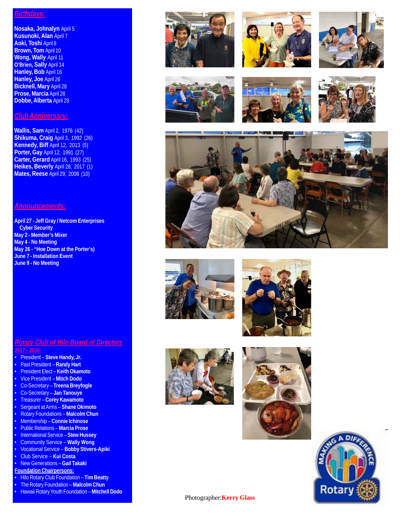#### *Birthdays:*

**Nosaka, Johnalyn** April 5 **Kusunoki, Alan** April 7 **Aoki, Toshi** April 8 **Brown, Tom** April 10 **Wong, Wally** April 11 **O'Brien, Sally** April 14 **Hanley, Bob** April 16 **Hanley, Joe** April 26 **Bicknell, Mary** April 28 **Prose, Marcia** April 28 **Dobbe, Alberta** April 29

#### *Club Anniversary:*

**Wallis, Sam** April 2, 1976 (42) **Shikuma, Craig** April 3, 1992 (26) **Kennedy, Biff** April 12, 2013 (5) **Porter, Gay** April 12, 1991 (27) **Carter, Gerard** April 16, 1993 (25) **Heikes, Beverly** April 28, 2017 (1) **Mates, Reese** April 29, 2008 (10)

#### *Announcements:*

**April 27 - Jeff Gray / Netcom Enterprises Cyber Security May 2 - Member's Mixer May 4 - No Meeting May 26 - "Hoe Down at the Porter's) June 7 - Installation Event June 9 - No Meeting**

#### *Rotary Club of Hilo Board of Directors* **2017 – 2018:**

- President **Steve Handy, Jr.**
- Past President **Randy Hart**
- President Elect **Keith Okamoto**
- Vice President **Mitch Dodo**
- Co-Secretary **Treena Breyfogle**
- Co-Secretary **Jan Tanouye**
- Treasurer **Corey Kawamoto**
- Sergeant at Arms **Shane Okimoto**
- Rotary Foundations **Malcolm Chun**
- Membership **Connie Ichinose**
- Public Relations **Marcia Prose**
- International Service **Stew Hussey**
- Community Service **Wally Wong**
- Vocational Service **Bobby Stivers-Apiki**
- Club Service **Kui Costa**
- New Generations **Gail Takaki Foundation Chairpersons:**
- 
- Hilo Rotary Club Foundation **Tim Beatty**
- The Rotary Foundation **Malcolm Chun** • Hawaii Rotary Youth Foundation – **Mitchell Dodo**

























Photographer:**Kerry Glass**